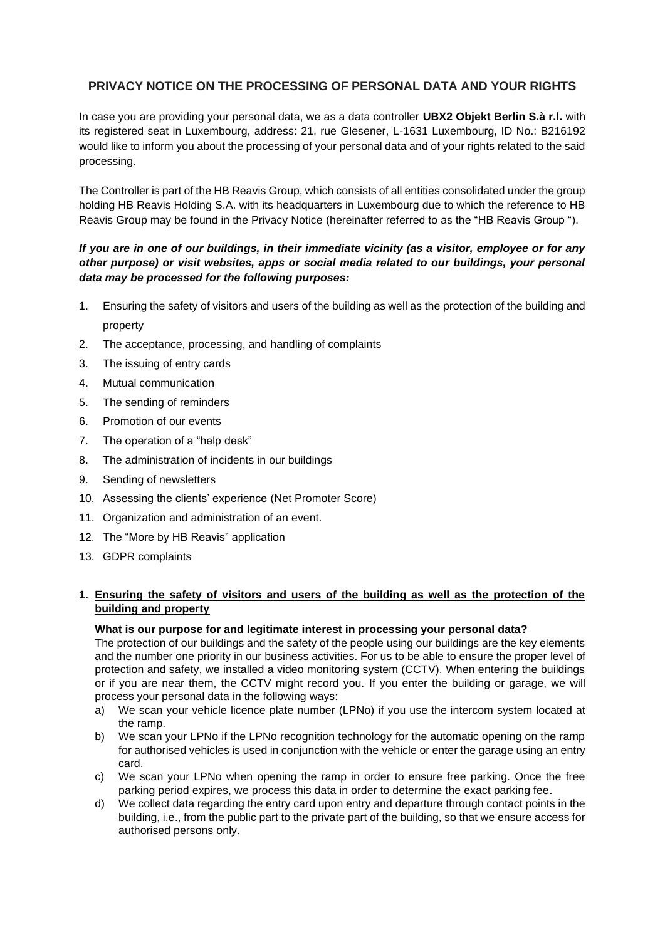# **PRIVACY NOTICE ON THE PROCESSING OF PERSONAL DATA AND YOUR RIGHTS**

In case you are providing your personal data, we as a data controller **UBX2 Objekt Berlin S.à r.l.** with its registered seat in Luxembourg, address: 21, rue Glesener, L-1631 Luxembourg, ID No.: B216192 would like to inform you about the processing of your personal data and of your rights related to the said processing.

The Controller is part of the HB Reavis Group, which consists of all entities consolidated under the group holding HB Reavis Holding S.A. with its headquarters in Luxembourg due to which the reference to HB Reavis Group may be found in the Privacy Notice (hereinafter referred to as the "HB Reavis Group ").

# *If you are in one of our buildings, in their immediate vicinity (as a visitor, employee or for any other purpose) or visit websites, apps or social media related to our buildings, your personal data may be processed for the following purposes:*

- 1. Ensuring the safety of visitors and users of the building as well as the protection of the building and property
- 2. The acceptance, processing, and handling of complaints
- 3. The issuing of entry cards
- 4. Mutual communication
- 5. The sending of reminders
- 6. Promotion of our events
- 7. The operation of a "help desk"
- 8. The administration of incidents in our buildings
- 9. Sending of newsletters
- 10. Assessing the clients' experience (Net Promoter Score)
- 11. Organization and administration of an event.
- 12. The "More by HB Reavis" application
- 13. GDPR complaints

# **1. Ensuring the safety of visitors and users of the building as well as the protection of the building and property**

# **What is our purpose for and legitimate interest in processing your personal data?**

The protection of our buildings and the safety of the people using our buildings are the key elements and the number one priority in our business activities. For us to be able to ensure the proper level of protection and safety, we installed a video monitoring system (CCTV). When entering the buildings or if you are near them, the CCTV might record you. If you enter the building or garage, we will process your personal data in the following ways:

- a) We scan your vehicle licence plate number (LPNo) if you use the intercom system located at the ramp.
- b) We scan your LPNo if the LPNo recognition technology for the automatic opening on the ramp for authorised vehicles is used in conjunction with the vehicle or enter the garage using an entry card.
- c) We scan your LPNo when opening the ramp in order to ensure free parking. Once the free parking period expires, we process this data in order to determine the exact parking fee.
- d) We collect data regarding the entry card upon entry and departure through contact points in the building, i.e., from the public part to the private part of the building, so that we ensure access for authorised persons only.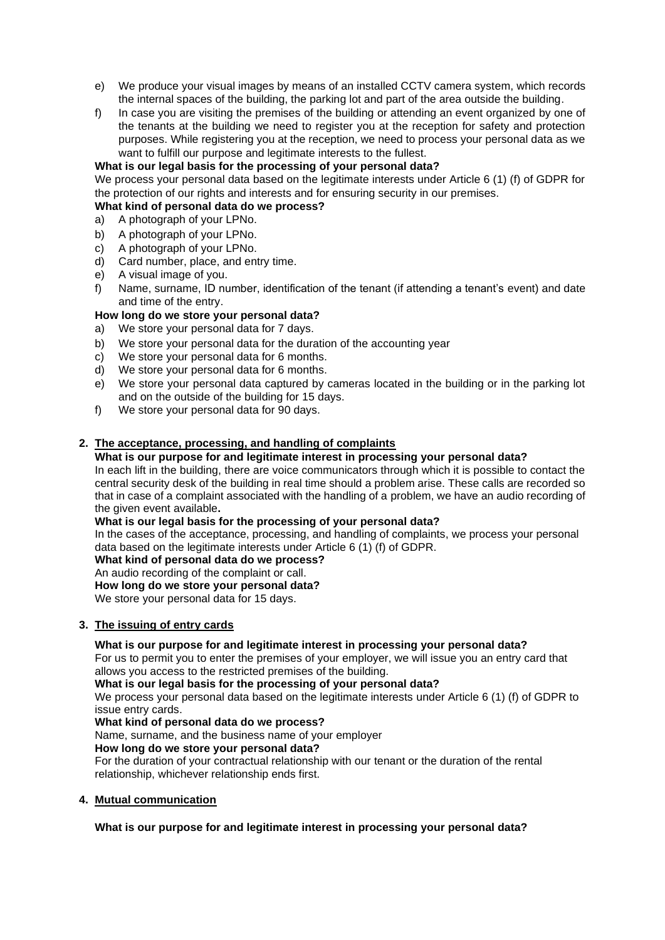- e) We produce your visual images by means of an installed CCTV camera system, which records the internal spaces of the building, the parking lot and part of the area outside the building.
- f) In case you are visiting the premises of the building or attending an event organized by one of the tenants at the building we need to register you at the reception for safety and protection purposes. While registering you at the reception, we need to process your personal data as we want to fulfill our purpose and legitimate interests to the fullest.

# **What is our legal basis for the processing of your personal data?**

We process your personal data based on the legitimate interests under Article 6 (1) (f) of GDPR for the protection of our rights and interests and for ensuring security in our premises.

# **What kind of personal data do we process?**

- a) A photograph of your LPNo.
- b) A photograph of your LPNo.
- c) A photograph of your LPNo.
- d) Card number, place, and entry time.
- e) A visual image of you.
- f) Name, surname, ID number, identification of the tenant (if attending a tenant's event) and date and time of the entry.

# **How long do we store your personal data?**

- a) We store your personal data for 7 days.
- b) We store your personal data for the duration of the accounting year
- c) We store your personal data for 6 months.
- d) We store your personal data for 6 months.
- e) We store your personal data captured by cameras located in the building or in the parking lot and on the outside of the building for 15 days.
- f) We store your personal data for 90 days.

# **2. The acceptance, processing, and handling of complaints**

# **What is our purpose for and legitimate interest in processing your personal data?**

In each lift in the building, there are voice communicators through which it is possible to contact the central security desk of the building in real time should a problem arise. These calls are recorded so that in case of a complaint associated with the handling of a problem, we have an audio recording of the given event available**.**

### **What is our legal basis for the processing of your personal data?**

In the cases of the acceptance, processing, and handling of complaints, we process your personal data based on the legitimate interests under Article 6 (1) (f) of GDPR.

# **What kind of personal data do we process?**

An audio recording of the complaint or call.

**How long do we store your personal data?**

We store your personal data for 15 days.

# **3. The issuing of entry cards**

# **What is our purpose for and legitimate interest in processing your personal data?**

For us to permit you to enter the premises of your employer, we will issue you an entry card that allows you access to the restricted premises of the building.

#### **What is our legal basis for the processing of your personal data?**

We process your personal data based on the legitimate interests under Article 6 (1) (f) of GDPR to issue entry cards.

# **What kind of personal data do we process?**

Name, surname, and the business name of your employer

# **How long do we store your personal data?**

For the duration of your contractual relationship with our tenant or the duration of the rental relationship, whichever relationship ends first.

# **4. Mutual communication**

# **What is our purpose for and legitimate interest in processing your personal data?**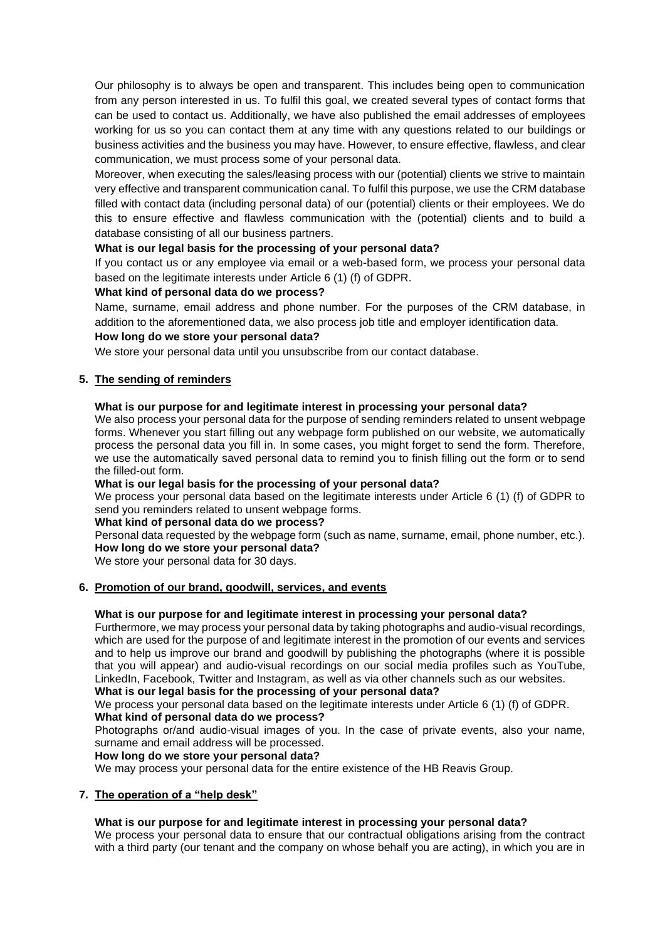Our philosophy is to always be open and transparent. This includes being open to communication from any person interested in us. To fulfil this goal, we created several types of contact forms that can be used to contact us. Additionally, we have also published the email addresses of employees working for us so you can contact them at any time with any questions related to our buildings or business activities and the business you may have. However, to ensure effective, flawless, and clear communication, we must process some of your personal data.

Moreover, when executing the sales/leasing process with our (potential) clients we strive to maintain very effective and transparent communication canal. To fulfil this purpose, we use the CRM database filled with contact data (including personal data) of our (potential) clients or their employees. We do this to ensure effective and flawless communication with the (potential) clients and to build a database consisting of all our business partners.

# **What is our legal basis for the processing of your personal data?**

If you contact us or any employee via email or a web-based form, we process your personal data based on the legitimate interests under Article 6 (1) (f) of GDPR.

### **What kind of personal data do we process?**

Name, surname, email address and phone number. For the purposes of the CRM database, in addition to the aforementioned data, we also process job title and employer identification data.

#### **How long do we store your personal data?**

We store your personal data until you unsubscribe from our contact database.

### **5. The sending of reminders**

#### **What is our purpose for and legitimate interest in processing your personal data?**

We also process your personal data for the purpose of sending reminders related to unsent webpage forms. Whenever you start filling out any webpage form published on our website, we automatically process the personal data you fill in. In some cases, you might forget to send the form. Therefore, we use the automatically saved personal data to remind you to finish filling out the form or to send the filled-out form.

### **What is our legal basis for the processing of your personal data?**

We process your personal data based on the legitimate interests under Article 6 (1) (f) of GDPR to send you reminders related to unsent webpage forms.

#### **What kind of personal data do we process?**

Personal data requested by the webpage form (such as name, surname, email, phone number, etc.). **How long do we store your personal data?**

We store your personal data for 30 days.

### **6. Promotion of our brand, goodwill, services, and events**

#### **What is our purpose for and legitimate interest in processing your personal data?**

Furthermore, we may process your personal data by taking photographs and audio-visual recordings, which are used for the purpose of and legitimate interest in the promotion of our events and services and to help us improve our brand and goodwill by publishing the photographs (where it is possible that you will appear) and audio-visual recordings on our social media profiles such as YouTube, LinkedIn, Facebook, Twitter and Instagram, as well as via other channels such as our websites.

**What is our legal basis for the processing of your personal data?**

We process your personal data based on the legitimate interests under Article 6 (1) (f) of GDPR.

### **What kind of personal data do we process?**

Photographs or/and audio-visual images of you. In the case of private events, also your name, surname and email address will be processed.

#### **How long do we store your personal data?**

We may process your personal data for the entire existence of the HB Reavis Group.

#### **7. The operation of a "help desk"**

# **What is our purpose for and legitimate interest in processing your personal data?**

We process your personal data to ensure that our contractual obligations arising from the contract with a third party (our tenant and the company on whose behalf you are acting), in which you are in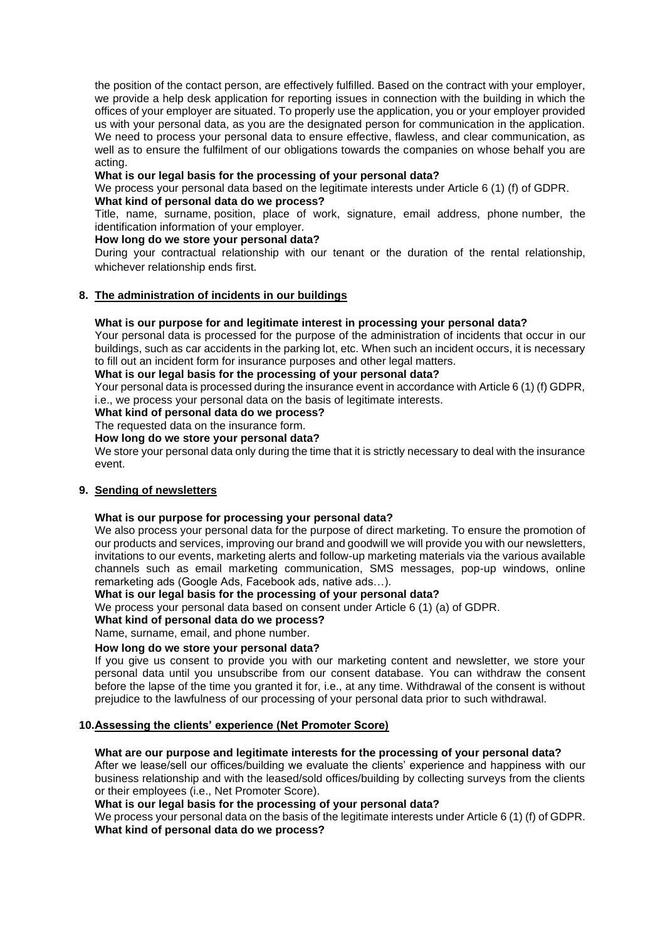the position of the contact person, are effectively fulfilled. Based on the contract with your employer, we provide a help desk application for reporting issues in connection with the building in which the offices of your employer are situated. To properly use the application, you or your employer provided us with your personal data, as you are the designated person for communication in the application. We need to process your personal data to ensure effective, flawless, and clear communication, as well as to ensure the fulfilment of our obligations towards the companies on whose behalf you are acting.

### **What is our legal basis for the processing of your personal data?**

We process your personal data based on the legitimate interests under Article 6 (1) (f) of GDPR. **What kind of personal data do we process?**

Title, name, surname, position, place of work, signature, email address, phone number, the identification information of your employer.

### **How long do we store your personal data?**

During your contractual relationship with our tenant or the duration of the rental relationship, whichever relationship ends first.

# **8. The administration of incidents in our buildings**

### **What is our purpose for and legitimate interest in processing your personal data?**

Your personal data is processed for the purpose of the administration of incidents that occur in our buildings, such as car accidents in the parking lot, etc. When such an incident occurs, it is necessary to fill out an incident form for insurance purposes and other legal matters.

**What is our legal basis for the processing of your personal data?**

Your personal data is processed during the insurance event in accordance with Article 6 (1) (f) GDPR, i.e., we process your personal data on the basis of legitimate interests.

**What kind of personal data do we process?**

The requested data on the insurance form.

### **How long do we store your personal data?**

We store your personal data only during the time that it is strictly necessary to deal with the insurance event.

### **9. Sending of newsletters**

#### **What is our purpose for processing your personal data?**

We also process your personal data for the purpose of direct marketing. To ensure the promotion of our products and services, improving our brand and goodwill we will provide you with our newsletters, invitations to our events, marketing alerts and follow-up marketing materials via the various available channels such as email marketing communication, SMS messages, pop-up windows, online remarketing ads (Google Ads, Facebook ads, native ads…).

#### **What is our legal basis for the processing of your personal data?**

We process your personal data based on consent under Article 6 (1) (a) of GDPR.

### **What kind of personal data do we process?**

Name, surname, email, and phone number.

### **How long do we store your personal data?**

If you give us consent to provide you with our marketing content and newsletter, we store your personal data until you unsubscribe from our consent database. You can withdraw the consent before the lapse of the time you granted it for, i.e., at any time. Withdrawal of the consent is without prejudice to the lawfulness of our processing of your personal data prior to such withdrawal.

### **10.Assessing the clients' experience (Net Promoter Score)**

# **What are our purpose and legitimate interests for the processing of your personal data?**

After we lease/sell our offices/building we evaluate the clients' experience and happiness with our business relationship and with the leased/sold offices/building by collecting surveys from the clients or their employees (i.e., Net Promoter Score).

#### **What is our legal basis for the processing of your personal data?**

We process your personal data on the basis of the legitimate interests under Article 6 (1) (f) of GDPR. **What kind of personal data do we process?**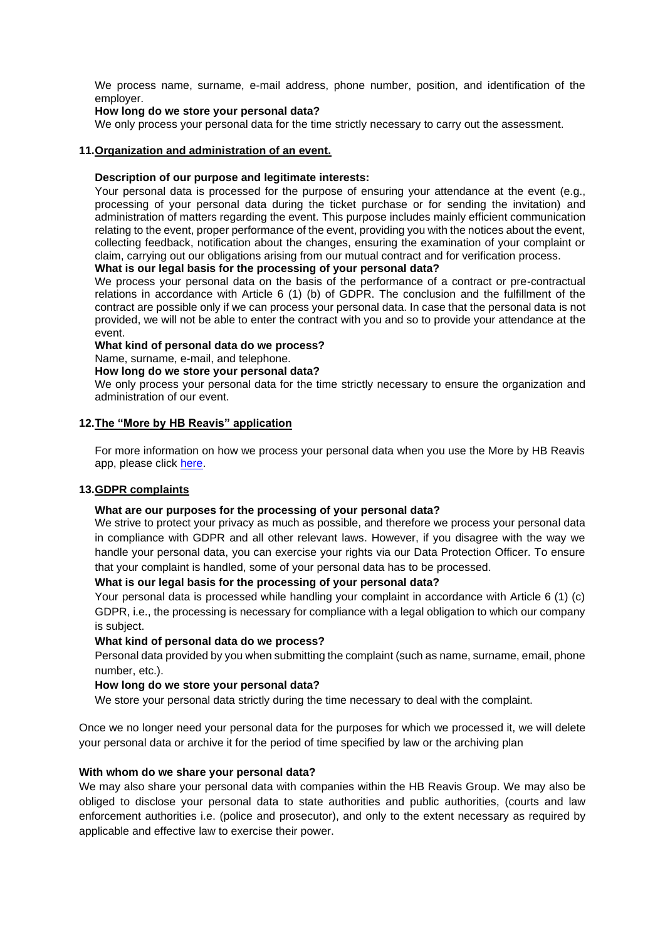We process name, surname, e-mail address, phone number, position, and identification of the employer.

### **How long do we store your personal data?**

We only process your personal data for the time strictly necessary to carry out the assessment.

### **11.Organization and administration of an event.**

### **Description of our purpose and legitimate interests:**

Your personal data is processed for the purpose of ensuring your attendance at the event (e.g., processing of your personal data during the ticket purchase or for sending the invitation) and administration of matters regarding the event. This purpose includes mainly efficient communication relating to the event, proper performance of the event, providing you with the notices about the event, collecting feedback, notification about the changes, ensuring the examination of your complaint or claim, carrying out our obligations arising from our mutual contract and for verification process.

### **What is our legal basis for the processing of your personal data?**

We process your personal data on the basis of the performance of a contract or pre-contractual relations in accordance with Article 6 (1) (b) of GDPR. The conclusion and the fulfillment of the contract are possible only if we can process your personal data. In case that the personal data is not provided, we will not be able to enter the contract with you and so to provide your attendance at the event.

### **What kind of personal data do we process?**

Name, surname, e-mail, and telephone.

### **How long do we store your personal data?**

We only process your personal data for the time strictly necessary to ensure the organization and administration of our event.

### **12.The "More by HB Reavis" application**

For more information on how we process your personal data when you use the More by HB Reavis app, please click [here.](https://hbreavis.com/wp-content/uploads/2022/04/GDPR_PrivacyNotice_AllActivities_MorebyHBReavis_ENG_20220323.pdf)

#### **13.GDPR complaints**

# **What are our purposes for the processing of your personal data?**

We strive to protect your privacy as much as possible, and therefore we process your personal data in compliance with GDPR and all other relevant laws. However, if you disagree with the way we handle your personal data, you can exercise your rights via our Data Protection Officer. To ensure that your complaint is handled, some of your personal data has to be processed.

# **What is our legal basis for the processing of your personal data?**

Your personal data is processed while handling your complaint in accordance with Article 6 (1) (c) GDPR, i.e., the processing is necessary for compliance with a legal obligation to which our company is subject.

# **What kind of personal data do we process?**

Personal data provided by you when submitting the complaint (such as name, surname, email, phone number, etc.).

#### **How long do we store your personal data?**

We store your personal data strictly during the time necessary to deal with the complaint.

Once we no longer need your personal data for the purposes for which we processed it, we will delete your personal data or archive it for the period of time specified by law or the archiving plan

### **With whom do we share your personal data?**

We may also share your personal data with companies within the HB Reavis Group. We may also be obliged to disclose your personal data to state authorities and public authorities, (courts and law enforcement authorities i.e. (police and prosecutor), and only to the extent necessary as required by applicable and effective law to exercise their power.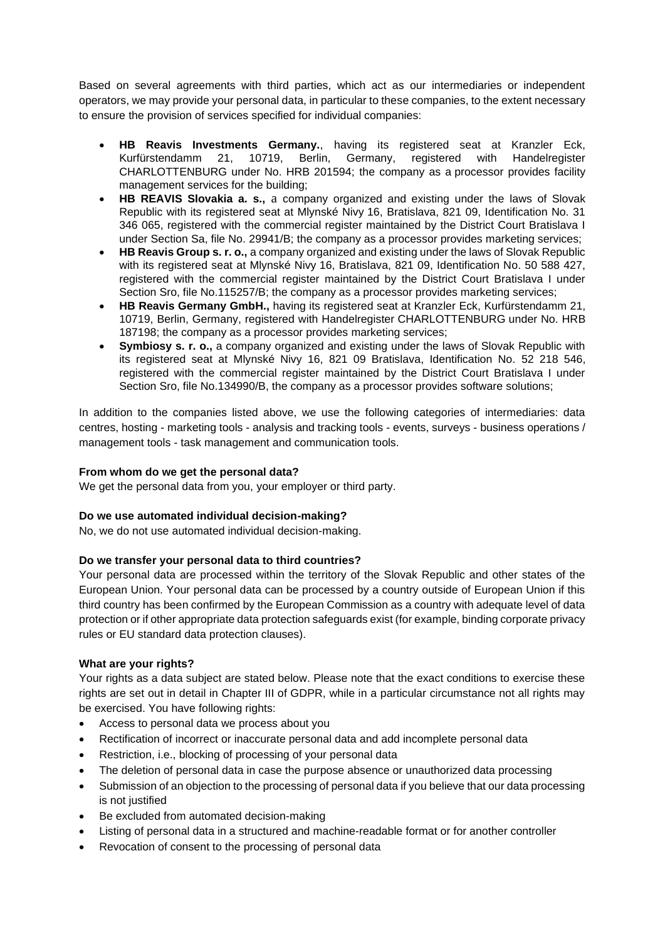Based on several agreements with third parties, which act as our intermediaries or independent operators, we may provide your personal data, in particular to these companies, to the extent necessary to ensure the provision of services specified for individual companies:

- **HB Reavis Investments Germany.**, having its registered seat at Kranzler Eck, Kurfürstendamm 21, 10719, Berlin, Germany, registered with Handelregister CHARLOTTENBURG under No. HRB 201594; the company as a processor provides facility management services for the building;
- **HB REAVIS Slovakia a. s.,** a company organized and existing under the laws of Slovak Republic with its registered seat at Mlynské Nivy 16, Bratislava, 821 09, Identification No. 31 346 065, registered with the commercial register maintained by the District Court Bratislava I under Section Sa, file No. 29941/B; the company as a processor provides marketing services;
- **HB Reavis Group s. r. o.,** a company organized and existing under the laws of Slovak Republic with its registered seat at Mlynské Nivy 16, Bratislava, 821 09, Identification No. 50 588 427, registered with the commercial register maintained by the District Court Bratislava I under Section Sro, file No.115257/B; the company as a processor provides marketing services;
- **HB Reavis Germany GmbH.,** having its registered seat at Kranzler Eck, Kurfürstendamm 21, 10719, Berlin, Germany, registered with Handelregister CHARLOTTENBURG under No. HRB 187198; the company as a processor provides marketing services;
- **Symbiosy s. r. o.,** a company organized and existing under the laws of Slovak Republic with its registered seat at Mlynské Nivy 16, 821 09 Bratislava, Identification No. 52 218 546, registered with the commercial register maintained by the District Court Bratislava I under Section Sro, file No.134990/B, the company as a processor provides software solutions;

In addition to the companies listed above, we use the following categories of intermediaries: data centres, hosting - marketing tools - analysis and tracking tools - events, surveys - business operations / management tools - task management and communication tools.

# **From whom do we get the personal data?**

We get the personal data from you, your employer or third party.

# **Do we use automated individual decision-making?**

No, we do not use automated individual decision-making.

# **Do we transfer your personal data to third countries?**

Your personal data are processed within the territory of the Slovak Republic and other states of the European Union. Your personal data can be processed by a country outside of European Union if this third country has been confirmed by the European Commission as a country with adequate level of data protection or if other appropriate data protection safeguards exist (for example, binding corporate privacy rules or EU standard data protection clauses).

# **What are your rights?**

Your rights as a data subject are stated below. Please note that the exact conditions to exercise these rights are set out in detail in Chapter III of GDPR, while in a particular circumstance not all rights may be exercised. You have following rights:

- Access to personal data we process about you
- Rectification of incorrect or inaccurate personal data and add incomplete personal data
- Restriction, i.e., blocking of processing of your personal data
- The deletion of personal data in case the purpose absence or unauthorized data processing
- Submission of an objection to the processing of personal data if you believe that our data processing is not justified
- Be excluded from automated decision-making
- Listing of personal data in a structured and machine-readable format or for another controller
- Revocation of consent to the processing of personal data